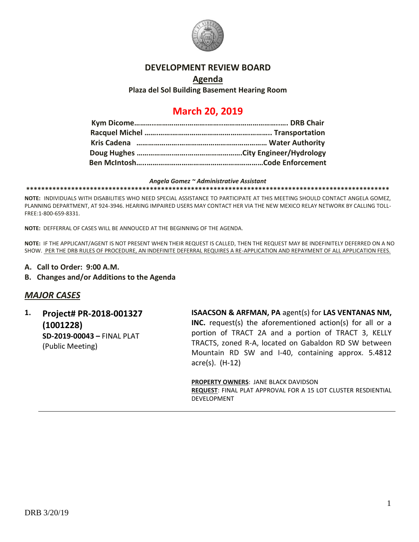

#### **DEVELOPMENT REVIEW BOARD**

#### **Agenda Plaza del Sol Building Basement Hearing Room**

## **March 20, 2019**

#### *Angela Gomez ~ Administrative Assistant*

**\*\*\*\*\*\*\*\*\*\*\*\*\*\*\*\*\*\*\*\*\*\*\*\*\*\*\*\*\*\*\*\*\*\*\*\*\*\*\*\*\*\*\*\*\*\*\*\*\*\*\*\*\*\*\*\*\*\*\*\*\*\*\*\*\*\*\*\*\*\*\*\*\*\*\*\*\*\*\*\*\*\*\*\*\*\*\*\*\*\*\*\*\*\*\*\*\***

**NOTE:** INDIVIDUALS WITH DISABILITIES WHO NEED SPECIAL ASSISTANCE TO PARTICIPATE AT THIS MEETING SHOULD CONTACT ANGELA GOMEZ, PLANNING DEPARTMENT, AT 924-3946. HEARING IMPAIRED USERS MAY CONTACT HER VIA THE NEW MEXICO RELAY NETWORK BY CALLING TOLL-FREE:1-800-659-8331.

**NOTE:** DEFFERRAL OF CASES WILL BE ANNOUCED AT THE BEGINNING OF THE AGENDA.

**NOTE:** IF THE APPLICANT/AGENT IS NOT PRESENT WHEN THEIR REQUEST IS CALLED, THEN THE REQUEST MAY BE INDEFINITELY DEFERRED ON A NO SHOW. PER THE DRB RULES OF PROCEDURE, AN INDEFINITE DEFERRAL REQUIRES A RE-APPLICATION AND REPAYMENT OF ALL APPLICATION FEES.

- **A. Call to Order: 9:00 A.M.**
- **B. Changes and/or Additions to the Agenda**

#### *MAJOR CASES*

**1. Project# PR-2018-001327 (1001228) SD-2019-00043 –** FINAL PLAT (Public Meeting)

**ISAACSON & ARFMAN, PA** agent(s) for **LAS VENTANAS NM, INC.** request(s) the aforementioned action(s) for all or a portion of TRACT 2A and a portion of TRACT 3, KELLY TRACTS, zoned R-A, located on Gabaldon RD SW between Mountain RD SW and I-40, containing approx. 5.4812 acre(s). (H-12)

**PROPERTY OWNERS**: JANE BLACK DAVIDSON **REQUEST**: FINAL PLAT APPROVAL FOR A 15 LOT CLUSTER RESDIENTIAL DEVELOPMENT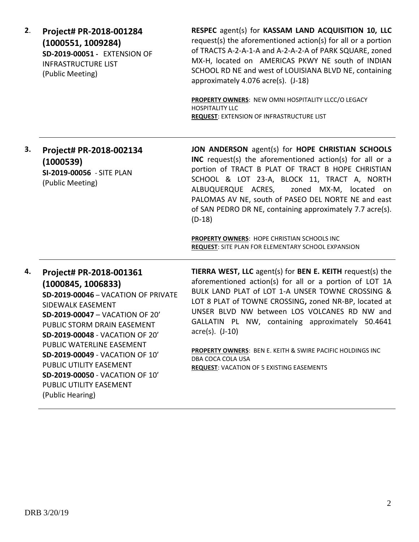| 2. | Project# PR-2018-001284<br>(1000551, 1009284)<br>SD-2019-00051 - EXTENSION OF<br><b>INFRASTRUCTURE LIST</b><br>(Public Meeting)                                                                                                                                                                                                                                                             | RESPEC agent(s) for KASSAM LAND ACQUISITION 10, LLC<br>request(s) the aforementioned action(s) for all or a portion<br>of TRACTS A-2-A-1-A and A-2-A-2-A of PARK SQUARE, zoned<br>MX-H, located on AMERICAS PKWY NE south of INDIAN<br>SCHOOL RD NE and west of LOUISIANA BLVD NE, containing<br>approximately 4.076 acre(s). (J-18)                                                                                                                                                                               |
|----|---------------------------------------------------------------------------------------------------------------------------------------------------------------------------------------------------------------------------------------------------------------------------------------------------------------------------------------------------------------------------------------------|--------------------------------------------------------------------------------------------------------------------------------------------------------------------------------------------------------------------------------------------------------------------------------------------------------------------------------------------------------------------------------------------------------------------------------------------------------------------------------------------------------------------|
|    |                                                                                                                                                                                                                                                                                                                                                                                             | PROPERTY OWNERS: NEW OMNI HOSPITALITY LLCC/O LEGACY<br><b>HOSPITALITY LLC</b><br>REQUEST: EXTENSION OF INFRASTRUCTURE LIST                                                                                                                                                                                                                                                                                                                                                                                         |
| 3. | Project# PR-2018-002134<br>(1000539)<br>SI-2019-00056 - SITE PLAN<br>(Public Meeting)                                                                                                                                                                                                                                                                                                       | JON ANDERSON agent(s) for HOPE CHRISTIAN SCHOOLS<br>INC request(s) the aforementioned action(s) for all or a<br>portion of TRACT B PLAT OF TRACT B HOPE CHRISTIAN<br>SCHOOL & LOT 23-A, BLOCK 11, TRACT A, NORTH<br>ALBUQUERQUE ACRES,<br>zoned MX-M, located on<br>PALOMAS AV NE, south of PASEO DEL NORTE NE and east<br>of SAN PEDRO DR NE, containing approximately 7.7 acre(s).<br>$(D-18)$                                                                                                                   |
|    |                                                                                                                                                                                                                                                                                                                                                                                             | PROPERTY OWNERS: HOPE CHRISTIAN SCHOOLS INC<br>REQUEST: SITE PLAN FOR ELEMENTARY SCHOOL EXPANSION                                                                                                                                                                                                                                                                                                                                                                                                                  |
| 4. | Project# PR-2018-001361<br>(1000845, 1006833)<br>SD-2019-00046 - VACATION OF PRIVATE<br>SIDEWALK EASEMENT<br>SD-2019-00047 - VACATION OF 20'<br>PUBLIC STORM DRAIN EASEMENT<br>SD-2019-00048 - VACATION OF 20'<br>PUBLIC WATERLINE EASEMENT<br>SD-2019-00049 - VACATION OF 10'<br>PUBLIC UTILITY EASEMENT<br>SD-2019-00050 - VACATION OF 10'<br>PUBLIC UTILITY EASEMENT<br>(Public Hearing) | TIERRA WEST, LLC agent(s) for BEN E. KEITH request(s) the<br>aforementioned action(s) for all or a portion of LOT 1A<br>BULK LAND PLAT of LOT 1-A UNSER TOWNE CROSSING &<br>LOT 8 PLAT of TOWNE CROSSING, zoned NR-BP, located at<br>UNSER BLVD NW between LOS VOLCANES RD NW and<br>GALLATIN PL NW, containing approximately 50.4641<br>$\arccos(5)$ . $(J-10)$<br><b>PROPERTY OWNERS: BEN E. KEITH &amp; SWIRE PACIFIC HOLDINGS INC</b><br>DBA COCA COLA USA<br><b>REQUEST: VACATION OF 5 EXISTING EASEMENTS</b> |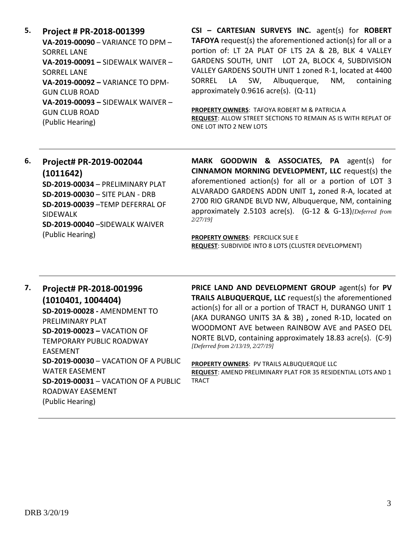**5. Project # PR-2018-001399 VA-2019-00090** – VARIANCE TO DPM – SORREL LANE **VA-2019-00091 –** SIDEWALK WAIVER – SORREL LANE **VA-2019-00092 –** VARIANCE TO DPM-GUN CLUB ROAD **VA-2019-00093 –** SIDEWALK WAIVER – GUN CLUB ROAD (Public Hearing)

**CSI – CARTESIAN SURVEYS INC.** agent(s) for **ROBERT TAFOYA** request(s) the aforementioned action(s) for all or a portion of: LT 2A PLAT OF LTS 2A & 2B, BLK 4 VALLEY GARDENS SOUTH, UNIT LOT 2A, BLOCK 4, SUBDIVISION VALLEY GARDENS SOUTH UNIT 1 zoned R-1, located at 4400 SORREL LA SW, Albuquerque, NM, containing approximately 0.9616 acre(s). (Q-11)

**PROPERTY OWNERS**: TAFOYA ROBERT M & PATRICIA A **REQUEST**: ALLOW STREET SECTIONS TO REMAIN AS IS WITH REPLAT OF ONE LOT INTO 2 NEW LOTS

# **6. Project# PR-2019-002044 (1011642)**

**SD-2019-00034** – PRELIMINARY PLAT **SD-2019-00030** – SITE PLAN - DRB **SD-2019-00039** –TEMP DEFERRAL OF SIDEWALK **SD-2019-00040** –SIDEWALK WAIVER (Public Hearing)

**MARK GOODWIN & ASSOCIATES, PA** agent(s) for **CINNAMON MORNING DEVELOPMENT, LLC** request(s) the aforementioned action(s) for all or a portion of LOT 3 ALVARADO GARDENS ADDN UNIT 1**,** zoned R-A, located at 2700 RIO GRANDE BLVD NW, Albuquerque, NM, containing approximately 2.5103 acre(s). (G-12 & G-13)*[Deferred from 2/27/19]*

**PROPERTY OWNERS**: PERCILICK SUE E **REQUEST**: SUBDIVIDE INTO 8 LOTS (CLUSTER DEVELOPMENT)

### **7. Project# PR-2018-001996 (1010401, 1004404) SD-2019-00028 -** AMENDMENT TO PRELIMINARY PLAT **SD-2019-00023 –** VACATION OF TEMPORARY PUBLIC ROADWAY EASEMENT **SD-2019-00030** – VACATION OF A PUBLIC WATER EASEMENT **SD-2019-00031** – VACATION OF A PUBLIC ROADWAY EASEMENT (Public Hearing)

**PRICE LAND AND DEVELOPMENT GROUP** agent(s) for **PV TRAILS ALBUQUERQUE, LLC** request(s) the aforementioned action(s) for all or a portion of TRACT H, DURANGO UNIT 1 (AKA DURANGO UNITS 3A & 3B) **,** zoned R-1D, located on WOODMONT AVE between RAINBOW AVE and PASEO DEL NORTE BLVD, containing approximately 18.83 acre(s). (C-9) *[Deferred from 2/13/19, 2/27/19]*

**PROPERTY OWNERS**: PV TRAILS ALBUQUERQUE LLC **REQUEST**: AMEND PRELIMINARY PLAT FOR 35 RESIDENTIAL LOTS AND 1 TRACT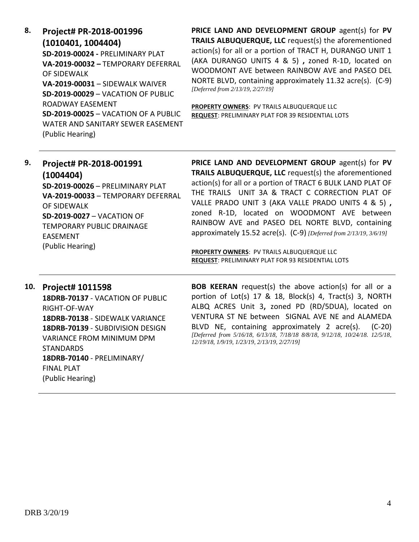| 8. | Project# PR-2018-001996                     |
|----|---------------------------------------------|
|    | (1010401, 1004404)                          |
|    | SD-2019-00024 - PRFLIMINARY PLAT            |
|    | VA-2019-00032 - TFMPORARY DFFFRRAL          |
|    | OF SIDEWALK                                 |
|    | <b>VA-2019-00031 - SIDFWALK WAIVFR</b>      |
|    | <b>SD-2019-00029 - VACATION OF PUBLIC</b>   |
|    | ROADWAY FASFMFNT                            |
|    | <b>SD-2019-00025 - VACATION OF A PUBLIC</b> |
|    | WATER AND SANITARY SEWER FASEMENT           |
|    | (Public Hearing)                            |
|    |                                             |

**PRICE LAND AND DEVELOPMENT GROUP** agent(s) for **PV TRAILS ALBUQUERQUE, LLC** request(s) the aforementioned action(s) for all or a portion of TRACT H, DURANGO UNIT 1 (AKA DURANGO UNITS 4 & 5) **,** zoned R-1D, located on WOODMONT AVE between RAINBOW AVE and PASEO DEL NORTE BLVD, containing approximately 11.32 acre(s). (C-9) *[Deferred from 2/13/19, 2/27/19]*

**PROPERTY OWNERS**: PV TRAILS ALBUQUERQUE LLC **REQUEST**: PRELIMINARY PLAT FOR 39 RESIDENTIAL LOTS

| 9. | Project# PR-2018-001991<br>(1004404)<br>SD-2019-00026 - PRELIMINARY PLAT<br>VA-2019-00033 - TEMPORARY DEFERRAL<br>OF SIDEWALK<br><b>SD-2019-0027 - VACATION OF</b><br><b>TEMPORARY PUBLIC DRAINAGE</b><br><b>FASFMENT</b> | PRICE LAND AND DEVELOPMENT GROUP agent(s) for PV<br>TRAILS ALBUQUERQUE, LLC request(s) the aforementioned<br>action(s) for all or a portion of TRACT 6 BULK LAND PLAT OF<br>THE TRAILS UNIT 3A & TRACT C CORRECTION PLAT OF<br>VALLE PRADO UNIT 3 (AKA VALLE PRADO UNITS 4 & 5),<br>zoned R-1D, located on WOODMONT AVE between<br>RAINBOW AVE and PASEO DEL NORTE BLVD, containing<br>approximately 15.52 acre(s). (C-9) [Deferred from 2/13/19, 3/6/19] |
|----|---------------------------------------------------------------------------------------------------------------------------------------------------------------------------------------------------------------------------|-----------------------------------------------------------------------------------------------------------------------------------------------------------------------------------------------------------------------------------------------------------------------------------------------------------------------------------------------------------------------------------------------------------------------------------------------------------|
|    | (Public Hearing)                                                                                                                                                                                                          | PROPERTY OWNERS: PV TRAILS ALBUQUERQUE LLC<br><b>REQUEST: PRELIMINARY PLAT FOR 93 RESIDENTIAL LOTS</b>                                                                                                                                                                                                                                                                                                                                                    |

#### **10. Project# 1011598 18DRB-70137** - VACATION OF PUBLIC RIGHT-OF-WAY **18DRB-70138** - SIDEWALK VARIANCE **18DRB-70139** - SUBDIVISION DESIGN VARIANCE FROM MINIMUM DPM **STANDARDS 18DRB-70140** - PRELIMINARY/ FINAL PLAT (Public Hearing)

**BOB KEERAN** request(s) the above action(s) for all or a portion of Lot(s) 17 & 18, Block(s) 4, Tract(s) 3, NORTH ALBQ ACRES Unit 3**,** zoned PD (RD/5DUA), located on VENTURA ST NE between SIGNAL AVE NE and ALAMEDA BLVD NE, containing approximately 2 acre(s). (C-20) *[Deferred from 5/16/18, 6/13/18, 7/18/18 8/8/18, 9/12/18, 10/24/18. 12/5/18, 12/19/18, 1/9/19, 1/23/19, 2/13/19, 2/27/19]*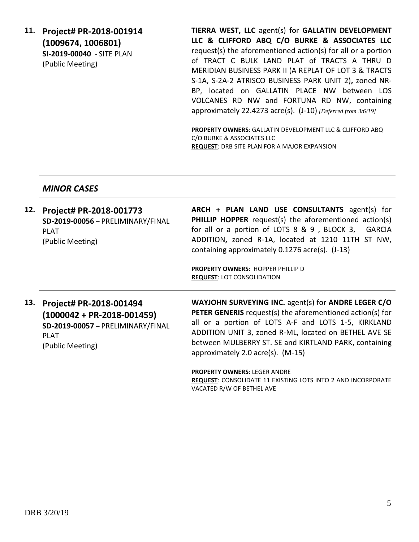**11. Project# PR-2018-001914 (1009674, 1006801) SI-2019-00040** - SITE PLAN (Public Meeting)

**TIERRA WEST, LLC** agent(s) for **GALLATIN DEVELOPMENT LLC & CLIFFORD ABQ C/O BURKE & ASSOCIATES LLC** request(s) the aforementioned action(s) for all or a portion of TRACT C BULK LAND PLAT of TRACTS A THRU D MERIDIAN BUSINESS PARK II (A REPLAT OF LOT 3 & TRACTS S-1A, S-2A-2 ATRISCO BUSINESS PARK UNIT 2)**,** zoned NR-BP, located on GALLATIN PLACE NW between LOS VOLCANES RD NW and FORTUNA RD NW, containing approximately 22.4273 acre(s). (J-10) *[Deferred from 3/6/19]*

**PROPERTY OWNERS**: GALLATIN DEVELOPMENT LLC & CLIFFORD ABQ C/O BURKE & ASSOCIATES LLC **REQUEST**: DRB SITE PLAN FOR A MAJOR EXPANSION

#### *MINOR CASES*

| 12. | Project# PR-2018-001773<br>SD-2019-00056 - PRELIMINARY/FINAL<br><b>PLAT</b><br>(Public Meeting)                                     | ARCH + PLAN LAND USE CONSULTANTS agent(s) for<br><b>PHILLIP HOPPER</b> request(s) the aforementioned action(s)<br>for all or a portion of LOTS 8 & 9, BLOCK 3,<br><b>GARCIA</b><br>ADDITION, zoned R-1A, located at 1210 11TH ST NW,<br>containing approximately 0.1276 acre(s). (J-13)                                               |
|-----|-------------------------------------------------------------------------------------------------------------------------------------|---------------------------------------------------------------------------------------------------------------------------------------------------------------------------------------------------------------------------------------------------------------------------------------------------------------------------------------|
|     |                                                                                                                                     | <b>PROPERTY OWNERS: HOPPER PHILLIP D</b><br><b>REQUEST: LOT CONSOLIDATION</b>                                                                                                                                                                                                                                                         |
| 13. | Project# PR-2018-001494<br>$(1000042 + PR - 2018 - 001459)$<br>SD-2019-00057 - PRELIMINARY/FINAL<br><b>PLAT</b><br>(Public Meeting) | WAYJOHN SURVEYING INC. agent(s) for ANDRE LEGER C/O<br><b>PETER GENERIS</b> request(s) the aforementioned action(s) for<br>all or a portion of LOTS A-F and LOTS 1-5, KIRKLAND<br>ADDITION UNIT 3, zoned R-ML, located on BETHEL AVE SE<br>between MULBERRY ST. SE and KIRTLAND PARK, containing<br>approximately 2.0 acre(s). (M-15) |
|     |                                                                                                                                     | <b>PROPERTY OWNERS: LEGER ANDRE</b><br><b>REQUEST: CONSOLIDATE 11 EXISTING LOTS INTO 2 AND INCORPORATE</b><br>VACATED R/W OF BETHEL AVE                                                                                                                                                                                               |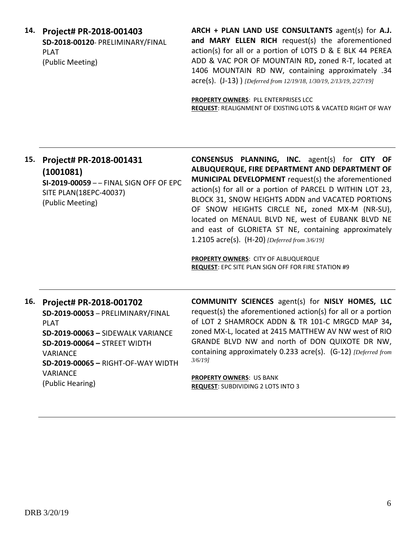**14. Project# PR-2018-001403 SD-2018-00120**- PRELIMINARY/FINAL PLAT (Public Meeting)

**ARCH + PLAN LAND USE CONSULTANTS** agent(s) for **A.J. and MARY ELLEN RICH** request(s) the aforementioned action(s) for all or a portion of LOTS D & E BLK 44 PEREA ADD & VAC POR OF MOUNTAIN RD**,** zoned R-T, located at 1406 MOUNTAIN RD NW, containing approximately .34 acre(s). (J-13) ) *[Deferred from 12/19/18, 1/30/19, 2/13/19, 2/27/19]*

**PROPERTY OWNERS**: PLL ENTERPRISES LCC **REQUEST**: REALIGNMENT OF EXISTING LOTS & VACATED RIGHT OF WAY

#### **15. Project# PR-2018-001431 (1001081) SI-2019-00059** – – FINAL SIGN OFF OF EPC

SITE PLAN(18EPC-40037) (Public Meeting)

**CONSENSUS PLANNING, INC.** agent(s) for **CITY OF ALBUQUERQUE, FIRE DEPARTMENT AND DEPARTMENT OF MUNICIPAL DEVELOPMENT** request(s) the aforementioned action(s) for all or a portion of PARCEL D WITHIN LOT 23, BLOCK 31, SNOW HEIGHTS ADDN and VACATED PORTIONS OF SNOW HEIGHTS CIRCLE NE**,** zoned MX-M (NR-SU), located on MENAUL BLVD NE, west of EUBANK BLVD NE and east of GLORIETA ST NE, containing approximately 1.2105 acre(s). (H-20) *[Deferred from 3/6/19]*

**PROPERTY OWNERS**: CITY OF ALBUQUERQUE **REQUEST**: EPC SITE PLAN SIGN OFF FOR FIRE STATION #9

#### **16. Project# PR-2018-001702**

**SD-2019-00053** – PRELIMINARY/FINAL PLAT **SD-2019-00063 –** SIDEWALK VARIANCE **SD-2019-00064 –** STREET WIDTH VARIANCE **SD-2019-00065 –** RIGHT-OF-WAY WIDTH VARIANCE (Public Hearing)

**COMMUNITY SCIENCES** agent(s) for **NISLY HOMES, LLC** request(s) the aforementioned action(s) for all or a portion of LOT 2 SHAMROCK ADDN & TR 101-C MRGCD MAP 34**,**  zoned MX-L, located at 2415 MATTHEW AV NW west of RIO GRANDE BLVD NW and north of DON QUIXOTE DR NW, containing approximately 0.233 acre(s). (G-12) *[Deferred from 3/6/19]*

**PROPERTY OWNERS**: US BANK **REQUEST**: SUBDIVIDING 2 LOTS INTO 3